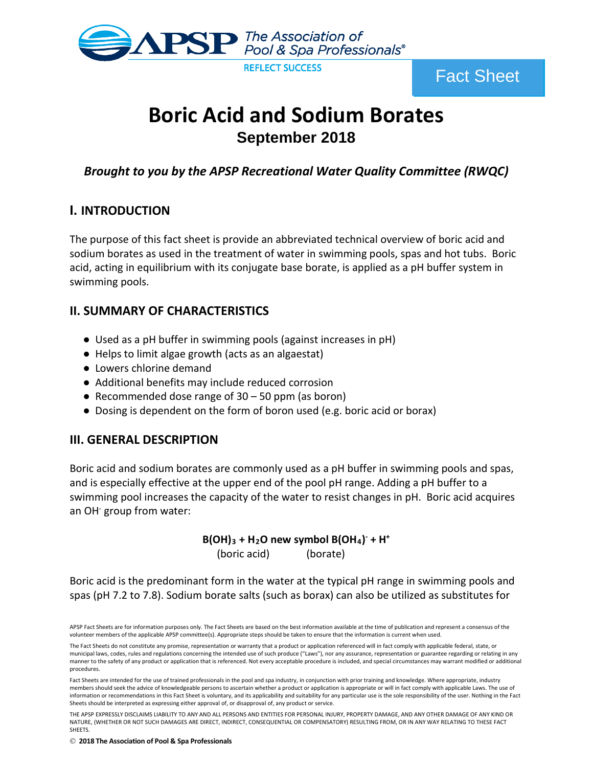

Fact Sheet

# **Boric Acid and Sodium Borates September 2018**

*Brought to you by the APSP Recreational Water Quality Committee (RWQC)* 

# **I. INTRODUCTION**

The purpose of this fact sheet is provide an abbreviated technical overview of boric acid and sodium borates as used in the treatment of water in swimming pools, spas and hot tubs. Boric acid, acting in equilibrium with its conjugate base borate, is applied as a pH buffer system in swimming pools.

# **II. SUMMARY OF CHARACTERISTICS**

- Used as a pH buffer in swimming pools (against increases in pH)
- Helps to limit algae growth (acts as an algaestat)
- Lowers chlorine demand
- Additional benefits may include reduced corrosion
- Recommended dose range of  $30 50$  ppm (as boron)
- Dosing is dependent on the form of boron used (e.g. boric acid or borax)

# **III. GENERAL DESCRIPTION**

Boric acid and sodium borates are commonly used as a pH buffer in swimming pools and spas, and is especially effective at the upper end of the pool pH range. Adding a pH buffer to a swimming pool increases the capacity of the water to resist changes in pH. Boric acid acquires an OH<sup>-</sup> group from water:

# **B(OH)3 + H2O new symbol B(OH4) - + H+**

(boric acid) (borate)

Boric acid is the predominant form in the water at the typical pH range in swimming pools and spas (pH 7.2 to 7.8). Sodium borate salts (such as borax) can also be utilized as substitutes for

**2018 The Association of Pool & Spa Professionals**

APSP Fact Sheets are for information purposes only. The Fact Sheets are based on the best information available at the time of publication and represent a consensus of the volunteer members of the applicable APSP committee(s). Appropriate steps should be taken to ensure that the information is current when used.

The Fact Sheets do not constitute any promise, representation or warranty that a product or application referenced will in fact comply with applicable federal, state, or municipal laws, codes, rules and regulations concerning the intended use of such produce ("Laws"), nor any assurance, representation or guarantee regarding or relating in any manner to the safety of any product or application that is referenced. Not every acceptable procedure is included, and special circumstances may warrant modified or additional procedures.

Fact Sheets are intended for the use of trained professionals in the pool and spa industry, in conjunction with prior training and knowledge. Where appropriate, industry members should seek the advice of knowledgeable persons to ascertain whether a product or application is appropriate or will in fact comply with applicable Laws. The use of information or recommendations in this Fact Sheet is voluntary, and its applicability and suitability for any particular use is the sole responsibility of the user. Nothing in the Fact Sheets should be interpreted as expressing either approval of, or disapproval of, any product or service.

THE APSP EXPRESSLY DISCLAIMS LIABILITY TO ANY AND ALL PERSONS AND ENTITIES FOR PERSONAL INJURY, PROPERTY DAMAGE, AND ANY OTHER DAMAGE OF ANY KIND OR NATURE, (WHETHER OR NOT SUCH DAMAGES ARE DIRECT, INDIRECT, CONSEQUENTIAL OR COMPENSATORY) RESULTING FROM, OR IN ANY WAY RELATING TO THESE FACT SHEETS.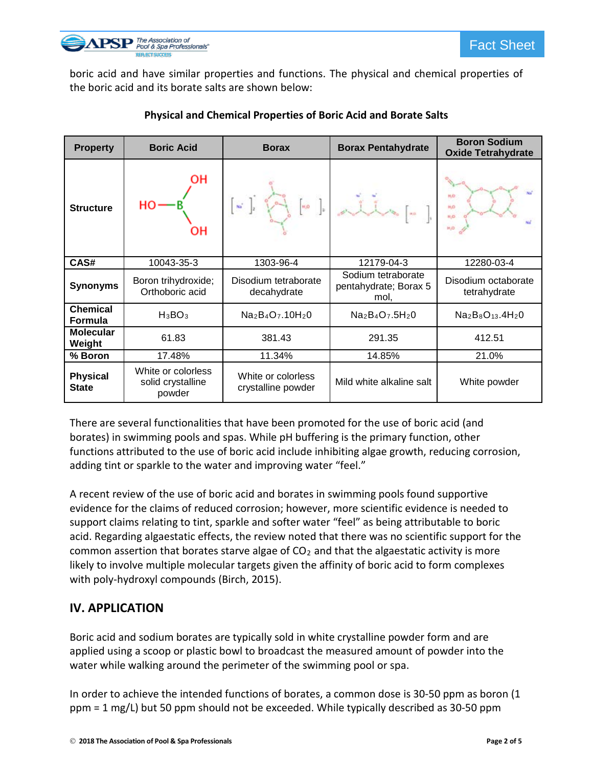

boric acid and have similar properties and functions. The physical and chemical properties of the boric acid and its borate salts are shown below:

| <b>Property</b>                   | <b>Boric Acid</b>                                 | <b>Borax</b>                             | <b>Borax Pentahydrate</b>                           | <b>Boron Sodium</b><br><b>Oxide Tetrahydrate</b> |
|-----------------------------------|---------------------------------------------------|------------------------------------------|-----------------------------------------------------|--------------------------------------------------|
| <b>Structure</b>                  | он<br>ΟН                                          | $\mathbf{w}^{\prime}$<br>кø              |                                                     | N.O<br>H <sub>D</sub><br>H.O<br><b>HUD</b>       |
| CAS#                              | 10043-35-3                                        | 1303-96-4                                | 12179-04-3                                          | 12280-03-4                                       |
| <b>Synonyms</b>                   | Boron trihydroxide;<br>Orthoboric acid            | Disodium tetraborate<br>decahydrate      | Sodium tetraborate<br>pentahydrate; Borax 5<br>mol, | Disodium octaborate<br>tetrahydrate              |
| <b>Chemical</b><br><b>Formula</b> | $H_3BO_3$                                         | $Na2B4O7$ .10H <sub>2</sub> 0            | $Na2B4O7 .5H2O$                                     | $Na2B8O13$ .4H <sub>2</sub> 0                    |
| <b>Molecular</b><br>Weight        | 61.83                                             | 381.43                                   | 291.35                                              | 412.51                                           |
| % Boron                           | 17.48%                                            | 11.34%                                   | 14.85%                                              | 21.0%                                            |
| <b>Physical</b><br><b>State</b>   | White or colorless<br>solid crystalline<br>powder | White or colorless<br>crystalline powder | Mild white alkaline salt                            | White powder                                     |

#### **Physical and Chemical Properties of Boric Acid and Borate Salts**

There are several functionalities that have been promoted for the use of boric acid (and borates) in swimming pools and spas. While pH buffering is the primary function, other functions attributed to the use of boric acid include inhibiting algae growth, reducing corrosion, adding tint or sparkle to the water and improving water "feel."

A recent review of the use of boric acid and borates in swimming pools found supportive evidence for the claims of reduced corrosion; however, more scientific evidence is needed to support claims relating to tint, sparkle and softer water "feel" as being attributable to boric acid. Regarding algaestatic effects, the review noted that there was no scientific support for the common assertion that borates starve algae of  $CO<sub>2</sub>$  and that the algaestatic activity is more likely to involve multiple molecular targets given the affinity of boric acid to form complexes with poly-hydroxyl compounds (Birch, 2015).

# **IV. APPLICATION**

Boric acid and sodium borates are typically sold in white crystalline powder form and are applied using a scoop or plastic bowl to broadcast the measured amount of powder into the water while walking around the perimeter of the swimming pool or spa.

In order to achieve the intended functions of borates, a common dose is 30-50 ppm as boron (1 ppm = 1 mg/L) but 50 ppm should not be exceeded. While typically described as 30-50 ppm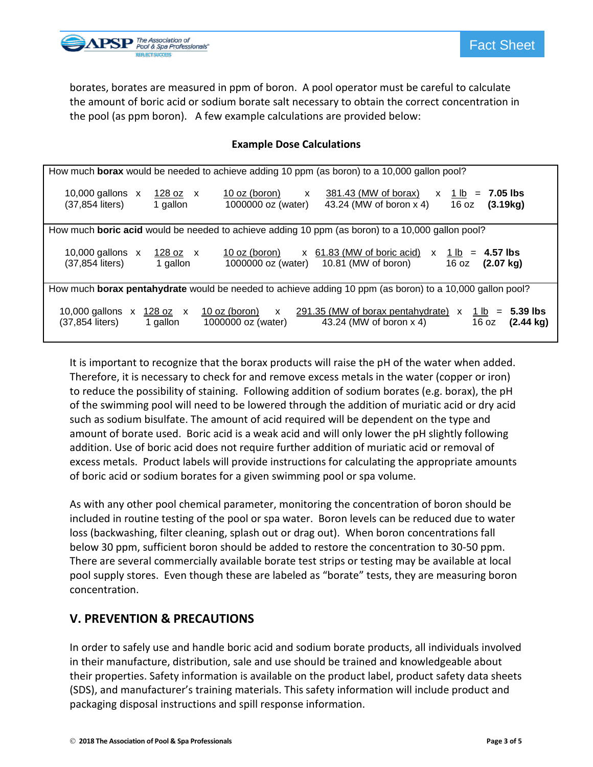

borates, borates are measured in ppm of boron. A pool operator must be careful to calculate the amount of boric acid or sodium borate salt necessary to obtain the correct concentration in the pool (as ppm boron). A few example calculations are provided below:

#### **Example Dose Calculations**

| How much borax would be needed to achieve adding 10 ppm (as boron) to a 10,000 gallon pool?                                                                                                                                                                     |  |  |  |  |
|-----------------------------------------------------------------------------------------------------------------------------------------------------------------------------------------------------------------------------------------------------------------|--|--|--|--|
| 381.43 (MW of borax)<br>10,000 gallons $\times$<br>10 oz (boron)<br>128 oz x<br>$x + 1$ lb = 7.05 lbs<br>$\mathsf{X}$<br>(37,854 liters)<br>1000000 oz (water)<br>43.24 (MW of boron x 4)<br>16 oz<br>(3.19kg)<br>1 gallon                                      |  |  |  |  |
| How much <b>boric acid</b> would be needed to achieve adding 10 ppm (as boron) to a 10,000 gallon pool?                                                                                                                                                         |  |  |  |  |
| $x$ 61.83 (MW of boric acid)<br>4.57 lbs<br>10,000 gallons $\times$<br>10 oz (boron)<br>128 oz x<br>$x + 1$ lb =<br>(37,854 liters)<br>10.81 (MW of boron)<br>16 oz<br>1000000 oz (water)<br>$(2.07 \text{ kg})$<br>1 gallon                                    |  |  |  |  |
| How much <b>borax pentahydrate</b> would be needed to achieve adding 10 ppm (as boron) to a 10,000 gallon pool?                                                                                                                                                 |  |  |  |  |
| 291.35 (MW of borax pentahydrate) $x$ 1 lb = 5.39 lbs<br>10 oz (boron) $\boldsymbol{\mathsf{x}}$<br>10,000 gallons $\times$<br>128 o <u>z</u> x<br>(37,854 liters)<br>1000000 oz (water)<br>16 oz<br>43.24 (MW of boron x 4)<br>$(2.44 \text{ kg})$<br>1 gallon |  |  |  |  |

It is important to recognize that the borax products will raise the pH of the water when added. Therefore, it is necessary to check for and remove excess metals in the water (copper or iron) to reduce the possibility of staining. Following addition of sodium borates (e.g. borax), the pH of the swimming pool will need to be lowered through the addition of muriatic acid or dry acid such as sodium bisulfate. The amount of acid required will be dependent on the type and amount of borate used. Boric acid is a weak acid and will only lower the pH slightly following addition. Use of boric acid does not require further addition of muriatic acid or removal of excess metals. Product labels will provide instructions for calculating the appropriate amounts of boric acid or sodium borates for a given swimming pool or spa volume.

As with any other pool chemical parameter, monitoring the concentration of boron should be included in routine testing of the pool or spa water. Boron levels can be reduced due to water loss (backwashing, filter cleaning, splash out or drag out). When boron concentrations fall below 30 ppm, sufficient boron should be added to restore the concentration to 30-50 ppm. There are several commercially available borate test strips or testing may be available at local pool supply stores. Even though these are labeled as "borate" tests, they are measuring boron concentration.

#### **V. PREVENTION & PRECAUTIONS**

In order to safely use and handle boric acid and sodium borate products, all individuals involved in their manufacture, distribution, sale and use should be trained and knowledgeable about their properties. Safety information is available on the product label, product safety data sheets (SDS), and manufacturer's training materials. This safety information will include product and packaging disposal instructions and spill response information.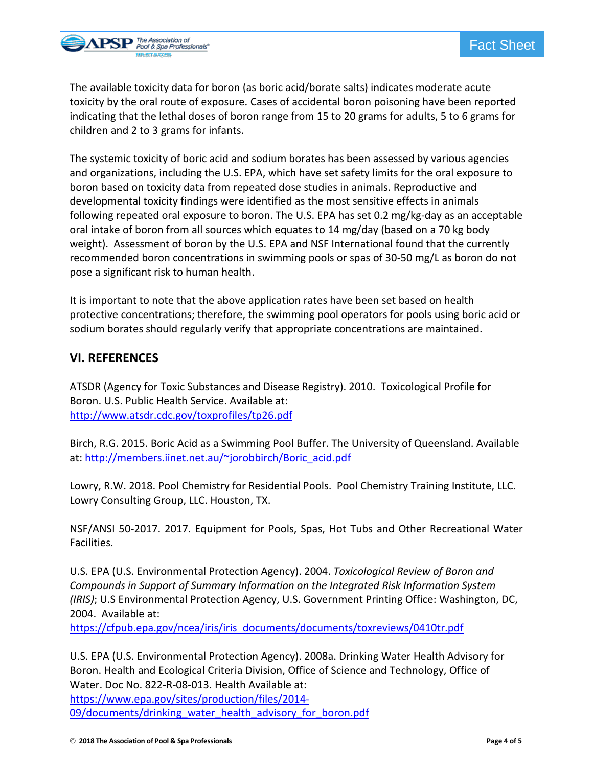

The available toxicity data for boron (as boric acid/borate salts) indicates moderate acute toxicity by the oral route of exposure. Cases of accidental boron poisoning have been reported indicating that the lethal doses of boron range from 15 to 20 grams for adults, 5 to 6 grams for children and 2 to 3 grams for infants.

The systemic toxicity of boric acid and sodium borates has been assessed by various agencies and organizations, including the U.S. EPA, which have set safety limits for the oral exposure to boron based on toxicity data from repeated dose studies in animals. Reproductive and developmental toxicity findings were identified as the most sensitive effects in animals following repeated oral exposure to boron. The U.S. EPA has set 0.2 mg/kg-day as an acceptable oral intake of boron from all sources which equates to 14 mg/day (based on a 70 kg body weight). Assessment of boron by the U.S. EPA and NSF International found that the currently recommended boron concentrations in swimming pools or spas of 30-50 mg/L as boron do not pose a significant risk to human health.

It is important to note that the above application rates have been set based on health protective concentrations; therefore, the swimming pool operators for pools using boric acid or sodium borates should regularly verify that appropriate concentrations are maintained.

#### **VI. REFERENCES**

ATSDR (Agency for Toxic Substances and Disease Registry). 2010. Toxicological Profile for Boron. U.S. Public Health Service. Available at: <http://www.atsdr.cdc.gov/toxprofiles/tp26.pdf>

Birch, R.G. 2015. Boric Acid as a Swimming Pool Buffer. The University of Queensland. Available at: [http://members.iinet.net.au/~jorobbirch/Boric\\_acid.pdf](http://members.iinet.net.au/%7Ejorobbirch/Boric_acid.pdf)

Lowry, R.W. 2018. Pool Chemistry for Residential Pools. Pool Chemistry Training Institute, LLC. Lowry Consulting Group, LLC. Houston, TX.

NSF/ANSI 50-2017. 2017. Equipment for Pools, Spas, Hot Tubs and Other Recreational Water Facilities.

U.S. EPA (U.S. Environmental Protection Agency). 2004. *Toxicological Review of Boron and Compounds in Support of Summary Information on the Integrated Risk Information System (IRIS)*; U.S Environmental Protection Agency, U.S. Government Printing Office: Washington, DC, 2004. Available at:

[https://cfpub.epa.gov/ncea/iris/iris\\_documents/documents/toxreviews/0410tr.pdf](https://cfpub.epa.gov/ncea/iris/iris_documents/documents/toxreviews/0410tr.pdf)

U.S. EPA (U.S. Environmental Protection Agency). 2008a. Drinking Water Health Advisory for Boron. Health and Ecological Criteria Division, Office of Science and Technology, Office of Water. Doc No. 822-R-08-013. Health Available at: [https://www.epa.gov/sites/production/files/2014](https://www.epa.gov/sites/production/files/2014-09/documents/drinking_water_health_advisory_for_boron.pdf)-

[09/documents/drinking\\_water\\_health\\_advisory\\_for\\_boron.pdf](https://www.epa.gov/sites/production/files/2014-09/documents/drinking_water_health_advisory_for_boron.pdf)